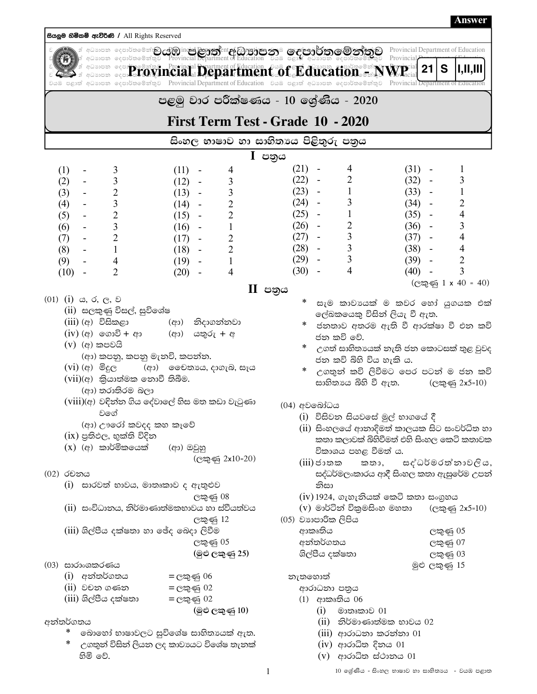සියලුම හිමිකම් ඇව්රිණි / All Rights Reserved de de la contract de la contract de la contract de la contract de la contract de la contract de la categorie de la categorie de la categorie de la categorie de la categorie de la categorie de la categorie de la categorie d .<br>අධාහපන දෙපාර්තමේන්තු **Secure 2008 and 2008 and 2008 and 2008 to 2008 and 2008 and 2009 and 2009 and 2009 and 2009 and 2009 and 2009 and 2009 and 2009 and 2009 and 2009 and 2009 and 2009 and 2009 and 2009 and 2009 and 2009 and 2009 and 2009 and**  $211$ S 1,11,111 වයඹ පළාත් අධ්යාපන දෙපාර්තමේන්තුව Provincial Department of Education වයඹ පළාත් අධ්යාපන දෙපාර්තමේන්තුව Provincial D පළමු වාර පරීක්ෂණය - 10 ලශ්ණිය - 2020 First Term Test - Grade 10 - 2020 සිංහල භාෂාව හා සාහිතාය පිළිතුරු පතුය  $\mathbf I$  පතුය  $(21) -$ 4  $(31) -$ 1  $(1)$ 3  $(11) -$ 4 3 3  $(22)$ 2  $(32) (2)$  $(12) -$ 3  $\overline{\phantom{a}}$  $\overline{2}$  $\mathfrak{Z}$  $(23) -$ 1  $(33) \mathbf{1}$  $(3)$  $(13) \overline{3}$  $(24) (4)$ 3  $\overline{2}$  $(34) \overline{2}$  $(14) \mathbf{1}$  $\overline{4}$  $\overline{2}$  $\overline{2}$  $(25) (35) (5)$  $(15) \overline{3}$  $(26) \overline{2}$  $(6)$  $(16) \mathbf{1}$  $(36) -$ 3  $\overline{\mathcal{L}}$  $(27) \overline{3}$  $(37) \overline{4}$  $(7)$  $\overline{2}$  $(17) \mathfrak{Z}$  $(28) (38) \overline{4}$  $(8)$  $\mathbf{1}$  $(18) -$ 2  $(29) \overline{3}$  $(39) \overline{2}$  $\overline{4}$  $(9)$  $(19) \mathbf{1}$  $\overline{4}$  $(30) \overline{2}$  $(40) -$ 3  $(10)$  $\mathbb{Z}^2$  $(20) \overline{4}$  $(C \oplus \mathfrak{S} 1 \times 40 = 40)$  $II$  පතුය  $(01)$   $(i)$   $\infty$ ,  $\circ$ ,  $\infty$ ,  $\infty$ සැම කාවායක් ම කවර හෝ යුගයක එක් (ii) සලකුණු විසල්, සුවිශේෂ ලේඛකයෙකු විසින් ලියැ වී ඇත.  $(iii)$  (අ) විසිකළා (ආ) නිදාගන්නවා ජනතාව අතරම ඇති වී ආරක්ෂා වී එන කවි  $(iv)$  (අ) ගොවි + ආ (අා) යතුරු <del>+</del> අ ජන කවි වේ.  $(v)$  (අ) කපවයි උගත් සාහිතායෙක් නැති ජන කොටසක් තුළ වුවද (ආ) කපනු, කපනු මැනවි, කපන්න. ජන කවි බිහි විය හැකි ය.  $(vi)$  (අ) මිදුල (ආ) මෛතායෙ, දාගැබ, සෑය උගතුන් කවි ලිවීමට පෙර පටන් ම ජන කවි  $(vii)(\alpha)$  කියාත්මක නොවී තිබීම. සාහිතායෙ බිහි වී ඇත. (ලකුණු 2x5=10) (ආ) තරාතිරම බලා (viii)(අ) වඳින්න ගිය දේවාලේ හිස මත කඩා වැටුණා (04) අවබෝධය වගේ (i) විසිවන සියවසේ මුල් භාගයේ දී (අා) ඌරෝ කවදද කහ කෑවේ (ii) සිංහලයේ ආනාදිමත් කාලයක සිට සංවර්ධිත හා (ix) පුතිඵල, භුක්ති විදින කතා කලාවක් බිහිවීමත් එහි සිංහල කෙටි කතාවක  $(X)$  (අ) කාර්මිකයෙක් (අා) ඔවුහු විකාශය පහළ වීමත් ය.  $C_{\infty}$ ණු 2x10=20)  $(iii)$ ජාතක කතා, සද්ධර්මරත්නාවලිය, (02) රචනය සද්ධර්මලංකාරය ආදී සිංහල කතා ඇසුරේම උපන් (i) සාරවත් භාවය, මාතෘකාව ද ඇතුළුව නිසා  $(iv)$  1924, ගැහැනියක් කෙටි කතා සංගුහය ලකුණු 08 (ii) සංවිධානය, නිර්මාණාත්මකභාවය හා ස්වීයත්වය (v) මාර්ටින් විකුමසිංහ මහතා (ලකුණු 2x5=10) (05) වහපාරික ලිපිය ලකුණු 12 (iii) ශිල්පීය දක්ෂතා හා ඡේද බෙදා ලිවීම ආකෘතිය ලකුණු 05 අන්තර්ගතය ලකුණු 05 ලකුණු 07 ශිල්පීය දක්ෂතා (මුළු ලකුණු 25) ලකුණු 03 (03) සාරාංශකරණය මුළු ලකුණු 15 (i) අන්තර්ගතය =ලකුණු 06 නැතහොත් (ii) වචන ගණන  $=$ ලකුණු 02 ආරාධනා පතුය (iii) ශිල්පීය දක්ෂතා  $(1)$  අාකෘතිය 06 = ලකුණු 02 (මුළු ලකු*ණු* 10)  $(i)$  මාතෘකාව 01 අන්තර්ගතය  $(ii)$  නිර්මාණාත්මක භාවය 02 බොහෝ භාෂාවලට සුවිශේෂ සාහිතායක් ඇත. (iii) ආරාධනා කරන්නා 01  $(iv)$  ආරාධිත දිනය 01

 $\mathbf{1}$ 

උගතුන් විසින් ලියන ලද කාවායට විශේෂ තැනක් හිමි වේ.

 $(V)$  ආරාධිත ස්ථානය 01

**Answer**